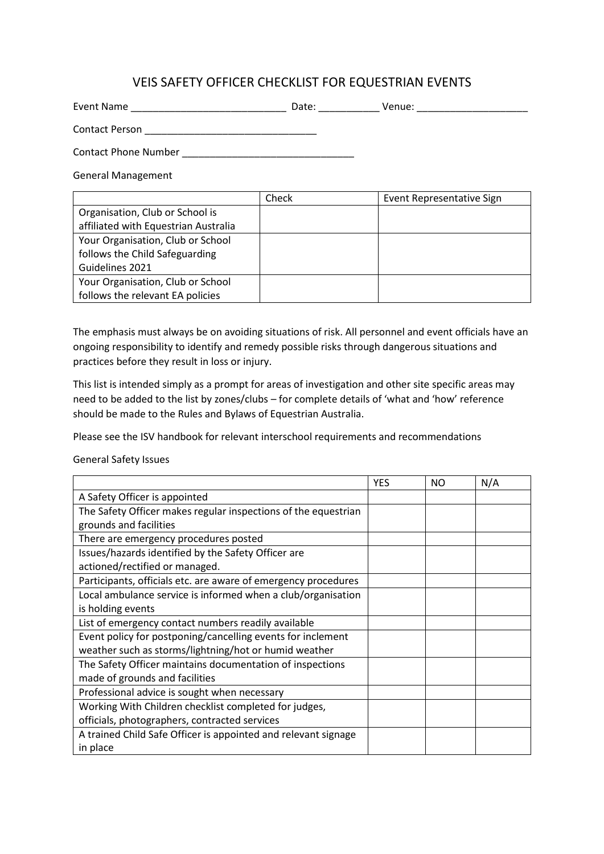## VEIS SAFETY OFFICER CHECKLIST FOR EQUESTRIAN EVENTS

| <b>Event Name</b>           | Date: | Venue: |
|-----------------------------|-------|--------|
| Contact Person              |       |        |
| <b>Contact Phone Number</b> |       |        |

General Management

|                                      | Check | Event Representative Sign |
|--------------------------------------|-------|---------------------------|
| Organisation, Club or School is      |       |                           |
| affiliated with Equestrian Australia |       |                           |
| Your Organisation, Club or School    |       |                           |
| follows the Child Safeguarding       |       |                           |
| Guidelines 2021                      |       |                           |
| Your Organisation, Club or School    |       |                           |
| follows the relevant EA policies     |       |                           |

The emphasis must always be on avoiding situations of risk. All personnel and event officials have an ongoing responsibility to identify and remedy possible risks through dangerous situations and practices before they result in loss or injury.

This list is intended simply as a prompt for areas of investigation and other site specific areas may need to be added to the list by zones/clubs – for complete details of 'what and 'how' reference should be made to the Rules and Bylaws of Equestrian Australia.

Please see the ISV handbook for relevant interschool requirements and recommendations

General Safety Issues

|                                                                | <b>YES</b> | NO | N/A |
|----------------------------------------------------------------|------------|----|-----|
| A Safety Officer is appointed                                  |            |    |     |
| The Safety Officer makes regular inspections of the equestrian |            |    |     |
| grounds and facilities                                         |            |    |     |
| There are emergency procedures posted                          |            |    |     |
| Issues/hazards identified by the Safety Officer are            |            |    |     |
| actioned/rectified or managed.                                 |            |    |     |
| Participants, officials etc. are aware of emergency procedures |            |    |     |
| Local ambulance service is informed when a club/organisation   |            |    |     |
| is holding events                                              |            |    |     |
| List of emergency contact numbers readily available            |            |    |     |
| Event policy for postponing/cancelling events for inclement    |            |    |     |
| weather such as storms/lightning/hot or humid weather          |            |    |     |
| The Safety Officer maintains documentation of inspections      |            |    |     |
| made of grounds and facilities                                 |            |    |     |
| Professional advice is sought when necessary                   |            |    |     |
| Working With Children checklist completed for judges,          |            |    |     |
| officials, photographers, contracted services                  |            |    |     |
| A trained Child Safe Officer is appointed and relevant signage |            |    |     |
| in place                                                       |            |    |     |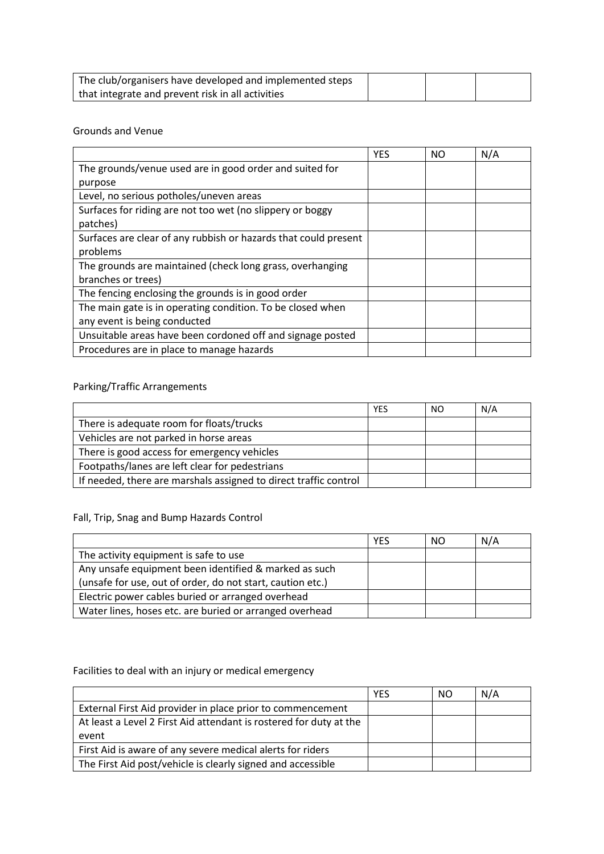| The club/organisers have developed and implemented steps |  |  |
|----------------------------------------------------------|--|--|
| that integrate and prevent risk in all activities        |  |  |

#### Grounds and Venue

|                                                                 | <b>YES</b> | NO | N/A |
|-----------------------------------------------------------------|------------|----|-----|
| The grounds/venue used are in good order and suited for         |            |    |     |
| purpose                                                         |            |    |     |
| Level, no serious potholes/uneven areas                         |            |    |     |
| Surfaces for riding are not too wet (no slippery or boggy       |            |    |     |
| patches)                                                        |            |    |     |
| Surfaces are clear of any rubbish or hazards that could present |            |    |     |
| problems                                                        |            |    |     |
| The grounds are maintained (check long grass, overhanging       |            |    |     |
| branches or trees)                                              |            |    |     |
| The fencing enclosing the grounds is in good order              |            |    |     |
| The main gate is in operating condition. To be closed when      |            |    |     |
| any event is being conducted                                    |            |    |     |
| Unsuitable areas have been cordoned off and signage posted      |            |    |     |
| Procedures are in place to manage hazards                       |            |    |     |

# Parking/Traffic Arrangements

|                                                                  | <b>YES</b> | NO. | N/A |
|------------------------------------------------------------------|------------|-----|-----|
| There is adequate room for floats/trucks                         |            |     |     |
| Vehicles are not parked in horse areas                           |            |     |     |
| There is good access for emergency vehicles                      |            |     |     |
| Footpaths/lanes are left clear for pedestrians                   |            |     |     |
| If needed, there are marshals assigned to direct traffic control |            |     |     |

Fall, Trip, Snag and Bump Hazards Control

|                                                            | <b>YES</b> | NO. | N/A |
|------------------------------------------------------------|------------|-----|-----|
| The activity equipment is safe to use                      |            |     |     |
| Any unsafe equipment been identified & marked as such      |            |     |     |
| (unsafe for use, out of order, do not start, caution etc.) |            |     |     |
| Electric power cables buried or arranged overhead          |            |     |     |
| Water lines, hoses etc. are buried or arranged overhead    |            |     |     |

## Facilities to deal with an injury or medical emergency

|                                                                    | YES | NO. | N/A |
|--------------------------------------------------------------------|-----|-----|-----|
| External First Aid provider in place prior to commencement         |     |     |     |
| At least a Level 2 First Aid attendant is rostered for duty at the |     |     |     |
| event                                                              |     |     |     |
| First Aid is aware of any severe medical alerts for riders         |     |     |     |
| The First Aid post/vehicle is clearly signed and accessible        |     |     |     |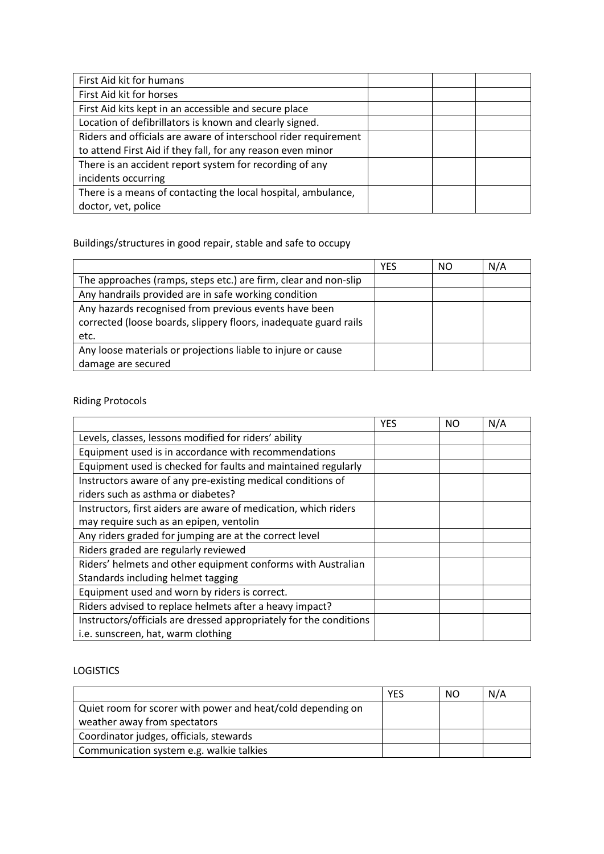| First Aid kit for humans                                        |  |  |
|-----------------------------------------------------------------|--|--|
| First Aid kit for horses                                        |  |  |
| First Aid kits kept in an accessible and secure place           |  |  |
| Location of defibrillators is known and clearly signed.         |  |  |
| Riders and officials are aware of interschool rider requirement |  |  |
| to attend First Aid if they fall, for any reason even minor     |  |  |
| There is an accident report system for recording of any         |  |  |
| incidents occurring                                             |  |  |
| There is a means of contacting the local hospital, ambulance,   |  |  |
| doctor, vet, police                                             |  |  |

Buildings/structures in good repair, stable and safe to occupy

|                                                                  | <b>YES</b> | NO | N/A |
|------------------------------------------------------------------|------------|----|-----|
| The approaches (ramps, steps etc.) are firm, clear and non-slip  |            |    |     |
| Any handrails provided are in safe working condition             |            |    |     |
| Any hazards recognised from previous events have been            |            |    |     |
| corrected (loose boards, slippery floors, inadequate guard rails |            |    |     |
| etc.                                                             |            |    |     |
| Any loose materials or projections liable to injure or cause     |            |    |     |
| damage are secured                                               |            |    |     |

# Riding Protocols

|                                                                                                   | <b>YES</b> | NO | N/A |
|---------------------------------------------------------------------------------------------------|------------|----|-----|
| Levels, classes, lessons modified for riders' ability                                             |            |    |     |
| Equipment used is in accordance with recommendations                                              |            |    |     |
| Equipment used is checked for faults and maintained regularly                                     |            |    |     |
| Instructors aware of any pre-existing medical conditions of<br>riders such as asthma or diabetes? |            |    |     |
| Instructors, first aiders are aware of medication, which riders                                   |            |    |     |
| may require such as an epipen, ventolin                                                           |            |    |     |
| Any riders graded for jumping are at the correct level                                            |            |    |     |
| Riders graded are regularly reviewed                                                              |            |    |     |
| Riders' helmets and other equipment conforms with Australian                                      |            |    |     |
| Standards including helmet tagging                                                                |            |    |     |
| Equipment used and worn by riders is correct.                                                     |            |    |     |
| Riders advised to replace helmets after a heavy impact?                                           |            |    |     |
| Instructors/officials are dressed appropriately for the conditions                                |            |    |     |
| i.e. sunscreen, hat, warm clothing                                                                |            |    |     |

### **LOGISTICS**

|                                                             | YES | <sub>NO</sub> | N/A |
|-------------------------------------------------------------|-----|---------------|-----|
| Quiet room for scorer with power and heat/cold depending on |     |               |     |
| weather away from spectators                                |     |               |     |
| Coordinator judges, officials, stewards                     |     |               |     |
| Communication system e.g. walkie talkies                    |     |               |     |